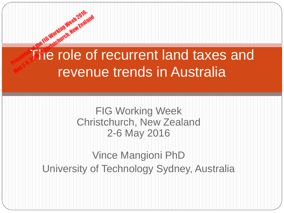# The role of recurrent land taxes and revenue trends in Australia May 2-6, 2016 in Christian May 1994 2019

**Press, New Year** 

#### FIG Working Week Christchurch, New Zealand 2-6 May 2016

### Vince Mangioni PhD University of Technology Sydney, Australia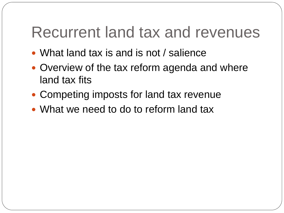## Recurrent land tax and revenues

- What land tax is and is not / salience
- Overview of the tax reform agenda and where land tax fits
- Competing imposts for land tax revenue
- What we need to do to reform land tax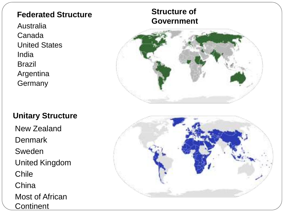#### **Federated Structure**

Australia Canada United States India Brazil Argentina **Germany** 

#### **Unitary Structure**

New Zealand **Denmark Sweden** United Kingdom Chile **China** Most of African **Continent** 

#### **Structure of Government**



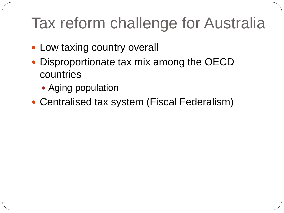# Tax reform challenge for Australia

- Low taxing country overall
- Disproportionate tax mix among the OECD countries
	- Aging population
- Centralised tax system (Fiscal Federalism)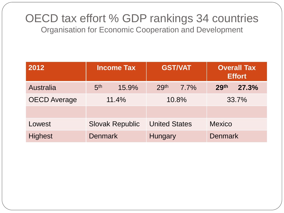#### OECD tax effort % GDP rankings 34 countries Organisation for Economic Cooperation and Development

| 2012                | <b>Income Tax</b>        | <b>GST/VAT</b>           | <b>Overall Tax</b><br><b>Effort</b> |  |  |
|---------------------|--------------------------|--------------------------|-------------------------------------|--|--|
| Australia           | 5 <sup>th</sup><br>15.9% | 29 <sup>th</sup><br>7.7% | 29th<br>27.3%                       |  |  |
| <b>OECD Average</b> | 11.4%                    | 10.8%                    | 33.7%                               |  |  |
|                     |                          |                          |                                     |  |  |
| Lowest              | <b>Slovak Republic</b>   | <b>United States</b>     | <b>Mexico</b>                       |  |  |
| <b>Highest</b>      | <b>Denmark</b>           | Hungary                  | <b>Denmark</b>                      |  |  |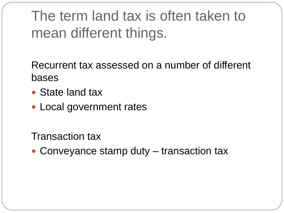# The term land tax is often taken to mean different things.

Recurrent tax assessed on a number of different bases

- State land tax
- Local government rates

Transaction tax

• Conveyance stamp duty – transaction tax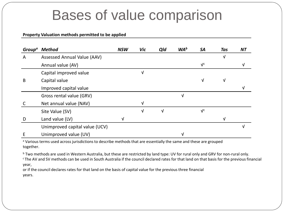### Bases of value comparison

#### **Property Valuation methods permitted to be applied**

| Group <sup>a</sup> | <b>Method</b>                  | <b>NSW</b> | Vic | Qld | WA <sup>b</sup> | <b>SA</b>                 | Tas | <b>NT</b> |
|--------------------|--------------------------------|------------|-----|-----|-----------------|---------------------------|-----|-----------|
| A                  | Assessed Annual Value (AAV)    |            |     |     |                 |                           | v   |           |
|                    | Annual value (AV)              |            |     |     |                 | V <sub>c</sub>            |     |           |
|                    | Capital improved value         |            | V   |     |                 |                           |     |           |
| B                  | Capital value                  |            |     |     |                 | V                         | V   |           |
|                    | Improved capital value         |            |     |     |                 |                           |     |           |
|                    | Gross rental value (GRV)       |            |     |     | $\sqrt{ }$      |                           |     |           |
|                    | Net annual value (NAV)         |            | V   |     |                 |                           |     |           |
|                    | Site Value (SV)                |            | V   | v   |                 | $\mathbf{V}^{\mathsf{C}}$ |     |           |
| D                  | Land value (LV)                | v          |     |     |                 |                           | V   |           |
|                    | Unimproved capital value (UCV) |            |     |     |                 |                           |     | V         |
| E                  | Unimproved value (UV)          |            |     |     | V               |                           |     |           |

a Various terms used across jurisdictions to describe methods that are essentially the same and these are grouped together.

b Two methods are used in Western Australia, but these are restricted by land type: UV for rural only and GRV for non-rural only. <sup>c</sup>The AV and SV methods can be used in South Australia if the council declared rates for that land on that basis for the previous financial year,

or if the council declares rates for that land on the basis of capital value for the previous three financial years.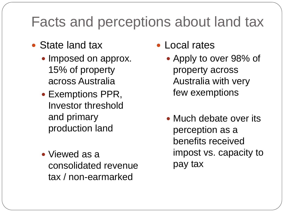### Facts and perceptions about land tax

- State land tax
	- Imposed on approx. 15% of property across Australia
	- Exemptions PPR, Investor threshold and primary production land
	- Viewed as a consolidated revenue tax / non-earmarked
- Local rates
	- Apply to over 98% of property across Australia with very few exemptions
	- Much debate over its perception as a benefits received impost vs. capacity to pay tax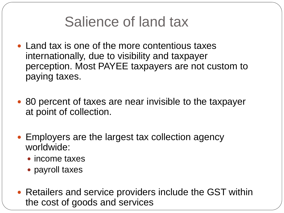### Salience of land tax

- Land tax is one of the more contentious taxes internationally, due to visibility and taxpayer perception. Most PAYEE taxpayers are not custom to paying taxes.
- 80 percent of taxes are near invisible to the taxpayer at point of collection.
- Employers are the largest tax collection agency worldwide:
	- income taxes
	- payroll taxes
- Retailers and service providers include the GST within the cost of goods and services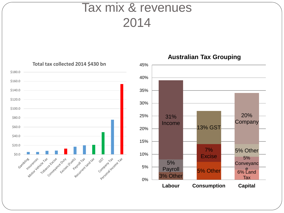### Tax mix & revenues 2014



**Australian Tax Grouping**

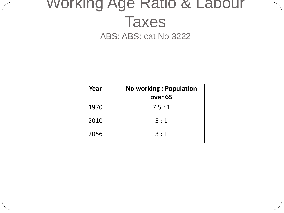### Working Age Ratio & Labour Taxes ABS: ABS: cat No 3222

| Year | <b>No working: Population</b><br>over <sub>65</sub> |
|------|-----------------------------------------------------|
| 1970 | 7.5:1                                               |
| 2010 | 5:1                                                 |
| 2056 | 3:1                                                 |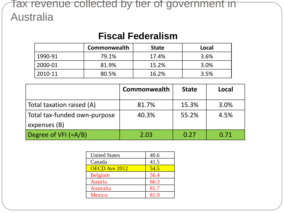#### Tax revenue collected by tier of government in Australia

#### **Fiscal Federalism**

|              | <b>Commonwealth</b> | <b>State</b> | Local |
|--------------|---------------------|--------------|-------|
| 1990-91      | 79.1%               | 17.4%        | 3.6%  |
| $12000 - 01$ | 81.9%               | 15.2%        | 3.0%  |
| 2010-11      | 80.5%               | 16.2%        | 3.5%  |

|                                              | <b>Commonwealth</b> | <b>State</b> | Local |
|----------------------------------------------|---------------------|--------------|-------|
| Total taxation raised (A)                    | 81.7%               | 15.3%        | 3.0%  |
| Total tax-funded own-purpose<br>expenses (B) | 40.3%               | 55.2%        | 4.5%  |
| Degree of $VFI$ (=A/B)                       | 2.03                | 0.27         | 0.71  |

| <b>United States</b> | 40.6 |
|----------------------|------|
| Canada               | 41.5 |
| <b>OECD</b> Ave 2012 | 54.5 |
| <b>Belgium</b>       | 56.4 |
| Austria              | 66.3 |
| Australia            | 81.7 |
| <b>Mexico</b>        | 81.9 |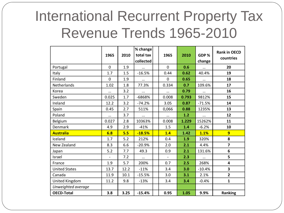## International Recurrent Property Tax Revenue Trends 1965-2010

|                      | 1965                     | 2010 | % change<br>total tax<br>collected | 1965                     | 2010  | GDP%<br>change | <b>Rank in OECD</b><br>countries |
|----------------------|--------------------------|------|------------------------------------|--------------------------|-------|----------------|----------------------------------|
| Portugal             | $\mathbf 0$              | 1.9  |                                    | $\overline{0}$           | 0.6   |                | 20                               |
| Italy                | 1.7                      | 1.5  | $-16.5%$                           | 0.44                     | 0.62  | 40.4%          | 19                               |
| Finland              | $\mathbf 0$              | 1.9  |                                    | $\overline{0}$           | 0.65  |                | 18                               |
| Netherlands          | 1.02                     | 1.8  | 77.3%                              | 0.334                    | 0.7   | 109.6%         | 17                               |
| Korea                |                          | 3.2  |                                    |                          | 0.79  |                | 16                               |
| Sweden               | 0.025                    | 1.7  | -6868%                             | 0.008                    | 0.793 | 9812%          | 15                               |
| Ireland              | 12.2                     | 3.2  | $-74.2%$                           | 3.05                     | 0.87  | $-71.5%$       | 14                               |
| Spain                | 0.45                     | 2.7  | 511%                               | 0,066                    | 0.88  | 1235%          | 13                               |
| Poland               |                          | 3.7  |                                    |                          | 1.2   |                | 12                               |
| Belgium              | 0.027                    | 2.8  | 10363%                             | 0.008                    | 1.229 | 15262%         | 11                               |
| Denmark              | 4.9                      | 2.9  | $-41%$                             | 1.5                      | 1.4   | $-6.2%$        | 10                               |
| <b>Australia</b>     | 6.8                      | 5.5  | $-18.5%$                           | 1.4                      | 1.42  | 1.1%           | $\overline{9}$                   |
| Iceland              | 1.7                      | 5.2  | 212%                               | 0.4                      | 1.9   | 320%           | 8                                |
| New Zealand          | 8.3                      | 6.6  | $-20.9%$                           | 2.0                      | 2.1   | 4.4%           | $\overline{\mathbf{z}}$          |
| Japan                | 5.2                      | 7.7  | 49.3                               | 0.9                      | 2.1   | 131.6%         | 6                                |
| Israel               | $\overline{\phantom{a}}$ | 7.2  | $\cdots$                           | $\overline{\phantom{a}}$ | 2.3   |                | 5                                |
| France               | 1.9                      | 5.7  | 200%                               | 0.7                      | 2.5   | 268%           | $\overline{\mathbf{4}}$          |
| <b>United States</b> | 13.7                     | 12.2 | $-11%$                             | 3.4                      | 3.0   | $-10.4%$       | $\overline{\mathbf{3}}$          |
| Canada               | 11.9                     | 10.1 | $-15.5%$                           | 3.0                      | 3.1   | 2.1%           | $\overline{2}$                   |
| United Kingdom       | 11.2                     | 9.8  | $-13%$                             | 3.4                      | 3.4   | $-0.4%$        | $\mathbf{1}$                     |
| Unweighted average   |                          |      |                                    |                          |       |                |                                  |
| <b>OECD-Total</b>    | 3.8                      | 3.25 | $-15.4%$                           | 0.95                     | 1.05  | 9.9%           | <b>Ranking</b>                   |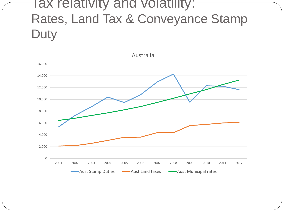### Tax relativity and volatility: Rates, Land Tax & Conveyance Stamp **Duty**

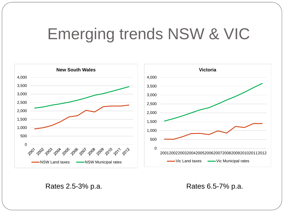# Emerging trends NSW & VIC



Rates 2.5-3% p.a. Rates 6.5-7% p.a.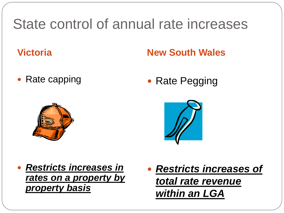### State control of annual rate increases

### **Victoria New South Wales**

• Rate capping

• Rate Pegging





- *Restricts increases in rates on a property by property basis*
- *Restricts increases of total rate revenue within an LGA*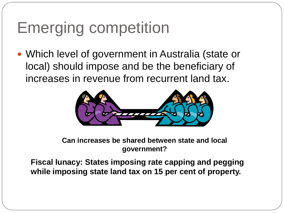# Emerging competition

 Which level of government in Australia (state or local) should impose and be the beneficiary of increases in revenue from recurrent land tax.



#### **Can increases be shared between state and local government?**

**Fiscal lunacy: States imposing rate capping and pegging while imposing state land tax on 15 per cent of property.**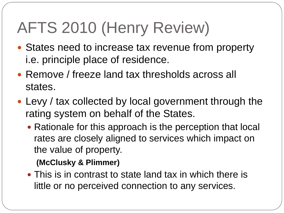# AFTS 2010 (Henry Review)

- States need to increase tax revenue from property i.e. principle place of residence.
- Remove / freeze land tax thresholds across all states.
- Levy / tax collected by local government through the rating system on behalf of the States.
	- Rationale for this approach is the perception that local rates are closely aligned to services which impact on the value of property.

**(McClusky & Plimmer)**

• This is in contrast to state land tax in which there is little or no perceived connection to any services.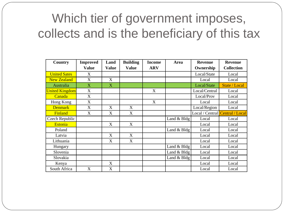### Which tier of government imposes, collects and is the beneficiary of this tax

| <b>Country</b>        | <b>Improved</b>           | Land                      | <b>Building</b>           | <b>Income</b> | Area             | <b>Revenue</b>                         | <b>Revenue</b>    |
|-----------------------|---------------------------|---------------------------|---------------------------|---------------|------------------|----------------------------------------|-------------------|
|                       | <b>Value</b>              | <b>Value</b>              | <b>Value</b>              | <b>ARV</b>    |                  | Ownership                              | <b>Collection</b> |
| <b>United Sates</b>   | X                         |                           |                           |               |                  | Local/State                            | Local             |
| <b>New Zealand</b>    | $\boldsymbol{\mathrm{X}}$ | X                         |                           |               |                  | Local                                  | Local             |
| Australia             | $\overline{X}$            | $\overline{X}$            |                           |               |                  | Local/State                            | State / Local     |
| <b>United Kingdom</b> | X                         |                           |                           | X             |                  | Local/Central                          | Local             |
| Canada                | X                         |                           |                           |               |                  | Local/Prov                             | Local             |
| Hong Kong             | X                         |                           |                           | X             |                  | Local                                  | Local             |
| <b>Denmark</b>        | $\boldsymbol{\mathrm{X}}$ | X                         | $\boldsymbol{\mathrm{X}}$ |               |                  | Local/Region                           | Local             |
| Finland               | X                         | X                         | X                         |               |                  | Local / Central <i>Central</i> / Local |                   |
| Czech Republic        |                           |                           |                           |               | Land $& B \, dg$ | Local                                  | Local             |
| <b>Estonia</b>        |                           | X                         | X                         |               |                  | Local                                  | Local             |
| Poland                |                           |                           |                           |               | Land & Bldg      | Local                                  | Local             |
| Latvia                |                           | X                         | X                         |               |                  | Local                                  | Local             |
| Lithuania             |                           | X                         | X                         |               |                  | Local                                  | Local             |
| Hungary               |                           |                           |                           |               | Land & Bldg      | Local                                  | Local             |
| Slovenia              |                           |                           |                           |               | Land & Bldg      | Local                                  | Local             |
| Slovakia              |                           |                           |                           |               | Land & Bldg      | Local                                  | Local             |
| Kenya                 |                           | X                         |                           |               |                  | Local                                  | Local             |
| South Africa          | X                         | $\boldsymbol{\mathrm{X}}$ |                           |               |                  | Local                                  | Local             |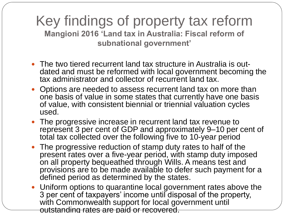#### Key findings of property tax reform **Mangioni 2016 'Land tax in Australia: Fiscal reform of subnational government'**

- The two tiered recurrent land tax structure in Australia is outdated and must be reformed with local government becoming the tax administrator and collector of recurrent land tax.
- Options are needed to assess recurrent land tax on more than one basis of value in some states that currently have one basis of value, with consistent biennial or triennial valuation cycles used.
- The progressive increase in recurrent land tax revenue to represent 3 per cent of GDP and approximately 9–10 per cent of total tax collected over the following five to 10-year period
- The progressive reduction of stamp duty rates to half of the present rates over a five-year period, with stamp duty imposed on all property bequeathed through Wills. A means test and provisions are to be made available to defer such payment for a defined period as determined by the states.
- Uniform options to quarantine local government rates above the 3 per cent of taxpayers' income until disposal of the property, with Commonwealth support for local government until outstanding rates are paid or recovered.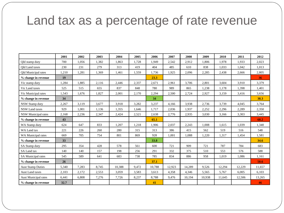### Land tax as a percentage of rate revenue

|                             | 2001  | 2002  | 2003  | 2004   | 2005  | 2006   | 2007   | 2008   | 2009   | 2010   | 2011   | 2012   |
|-----------------------------|-------|-------|-------|--------|-------|--------|--------|--------|--------|--------|--------|--------|
| Old stamp duty              | 700   | 1,056 | 1,382 | 1,863  | 1.728 | 1.949  | 2,542  | 2,912  | 1.806  | 1.978  | 1,933  | 2,023  |
| Old Land taxes              | 230   | 231   | 279   | 313    | 419   | 404    | 485    | 610    | 838    | 1,033  | 1,042  | 1,013  |
| <b>Qld Municipal rates</b>  | 1,210 | 1,281 | 1,369 | 1,461  | 1,559 | 1,736  | 1,925  | 2,096  | 2,285  | 2,438  | 2,666  | 2,805  |
| % change in revenue         | 19    |       |       |        |       | 23.3   |        |        |        |        |        | 36     |
| Vic stamp duty              | 1,284 | 1,885 | 2,116 | 2,446  | 2,337 | 2,671  | 2,961  | 3,706  | 2,801  | 3,604  | 3,910  | 3,379  |
| Vic Land taxes              | 525   | 515   | 655   | 837    | 848   | 780    | 989    | 865    | 1,238  | 1,178  | 1,398  | 1,401  |
| Vic Municipal rates         | 1,543 | 1,676 | 1,827 | 2,001  | 2,170 | 2,294  | 2,500  | 2,724  | 2,927  | 3,159  | 3,416  | 3,656  |
| % change in revenue         | 34    |       |       |        |       | 34     |        |        |        |        |        | 38.3   |
| NSW Stamp duty              | 2,267 | 3,119 | 3,677 | 3,918  | 3,282 | 3,237  | 4.166  | 3,938  | 2,736  | 3,739  | 4,045  | 3,764  |
| <b>NSW Land taxes</b>       | 929   | 1.001 | 1,136 | 1,355  | 1.646 | 1.717  | 2,036  | 1.937  | 2,252  | 2,296  | 2,289  | 2,350  |
| <b>NSW Municipal rates</b>  | 2,168 | 2,236 | 2,347 | 2,424  | 2,521 | 2,638  | 2,776  | 2,935  | 3,030  | 3,166  | 3,303  | 3,445  |
| % change in revenue         | 43    |       |       |        |       | 65.1   |        |        |        |        |        | 68.2   |
| WA Stamp duty               | 624   | 647   | 833   | 1.207  | 1.218 | 1.906  | 2.037  | 2.243  | 1.008  | 1.615  | 1.039  | 1.340  |
| WA Land tax                 | 221   | 226   | 260   | 280    | 315   | 313    | 386    | 415    | 562    | 519    | 516    | 548    |
| WA Municipal rates          | 669   | 705   | 754   | 801    | 869   | 928    | 1.001  | 1.088  | 1,220  | 1,317  | 1,454  | 1,581  |
| % change in revenue         | 33    |       |       |        |       | 33.8   |        |        |        |        |        | 34.6   |
| SA Stamp duty               | 295   | 354   | 428   | 578    | 561   | 600    | 721    | 909    | 721    | 787    | 784    | 683    |
| SA Land tax                 | 140   | 140   | 157   | 198    | 256   | 291    | 332    | 375    | 510    | 553    | 576    | 588    |
| SA Municipal rates          | 545   | 589   | 641   | 683    | 738   | 785    | 834    | 886    | 958    | 1,019  | 1,086  | 1,161  |
| % change in revenue         | 26    |       |       |        |       | 37.1   |        |        |        |        |        | 50.6   |
| <b>Aust Stamp Duties</b>    | 5,340 | 7,283 | 8,745 | 10,388 | 9,472 | 10,788 | 12,923 | 14,289 | 9,526  | 12,294 | 12,229 | 11,657 |
| <b>Aust Land taxes</b>      | 2,103 | 2,172 | 2,553 | 3,059  | 3,583 | 3,613  | 4,358  | 4,346  | 5,565  | 5,767  | 6,005  | 6,103  |
| <b>Aust Municipal rates</b> | 6,441 | 6,808 | 7,276 | 7,726  | 8,237 | 8,788  | 9,476  | 10,194 | 10,938 | 11,645 | 12,506 | 13,265 |
| % change in revenue         | 32.7  |       |       |        |       | 41     |        |        |        |        |        | 46     |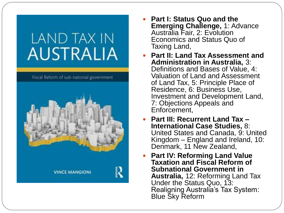# LAND TAX IN **AUSTRALIA**

Fiscal Reform of sub-national government



- **Part I: Status Quo and the Emerging Challenge,** 1: Advance Australia Fair, 2: Evolution Economics and Status Quo of Taxing Land,
- **Part II: Land Tax Assessment and Administration in Australia,** 3: Definitions and Bases of Value, 4: Valuation of Land and Assessment of Land Tax, 5: Principle Place of Residence, 6: Business Use, Investment and Development Land, 7: Objections Appeals and Enforcement,
- **Part III: Recurrent Land Tax – International Case Studies,** 8: United States and Canada, 9: United Kingdom – England and Ireland, 10: Denmark, 11 New Zealand,
- **Part IV: Reforming Land Value Taxation and Fiscal Reform of Subnational Government in Australia,** 12: Reforming Land Tax Under the Status Quo, 13: Realigning Australia's Tax System: Blue Sky Reform